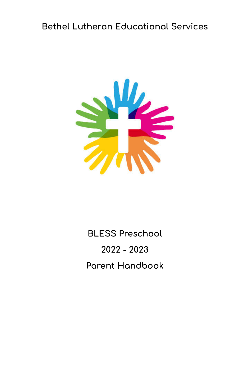#### **Bethel Lutheran Educational Services**



# **BLESS Preschool 2022 - 2023 Parent Handbook**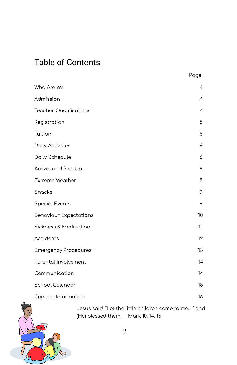#### Table of Contents

|                               | Page |
|-------------------------------|------|
| Who Are We                    | 4    |
| Admission                     | 4    |
| <b>Teacher Qualifications</b> | 4    |
| Registration                  | 5    |
| Tuition                       | 5    |
| Daily Activities              | 6    |
| Daily Schedule                | 6    |
| Arrival and Pick Up           | 8    |
| <b>Extreme Weather</b>        | 8    |
| <b>Snacks</b>                 | 9    |
| <b>Special Events</b>         | 9    |
| <b>Behaviour Expectations</b> | 10   |
| Sickness & Medication         | 11   |
| Accidents                     | 12   |
| <b>Emergency Procedures</b>   | 13   |
| Parental Involvement          | 14   |
| Communication                 | 14   |
| School Calendar               | 15   |
| Contact Information           | 16   |

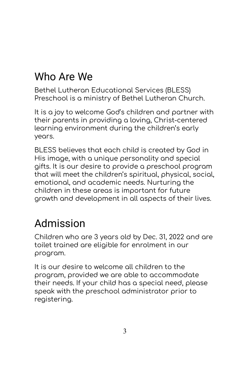## Who Are We

Bethel Lutheran Educational Services (BLESS) Preschool is a ministry of Bethel Lutheran Church.

It is a joy to welcome God's children and partner with their parents in providing a loving, Christ-centered learning environment during the children's early years.

BLESS believes that each child is created by God in His image, with a unique personality and special gifts. It is our desire to provide a preschool program that will meet the children's spiritual, physical, social, emotional, and academic needs. Nurturing the children in these areas is important for future growth and development in all aspects of their lives.

#### Admission

Children who are 3 years old by Dec. 31, 2022 and are toilet trained are eligible for enrolment in our program.

It is our desire to welcome all children to the program, provided we are able to accommodate their needs. If your child has a special need, please speak with the preschool administrator prior to registering.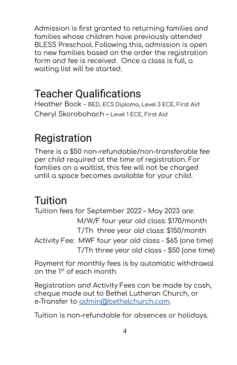Admission is first granted to returning families and families whose children have previously attended BLESS Preschool. Following this, admission is open to new families based on the order the registration form and fee is received. Once a class is full, a waiting list will be started.

#### Teacher Qualifications

Heather Book - BED, ECS Diploma, Level 3 ECE, First Aid Cheryl Skorobohach – Level 1 ECE, First Aid

## Registration

There is a \$50 non-refundable/non-transferable fee per child required at the time of registration. For families on a waitlist, this fee will not be charged until a space becomes available for your child.

#### Tuition

Tuition fees for September 2022 – May 2023 are: M/W/F four year old class: \$170/month T/Th three year old class: \$150/month Activity Fee: MWF four year old class - \$65 (one time) T/Th three year old class - \$50 (one time)

Payment for monthly fees is by automatic withdrawal on the 1<sup>st</sup> of each month.

Registration and Activity Fees can be made by cash, cheque made out to Bethel Lutheran Church, or e-Transfer to [admin@bethelchurch.com](mailto:admin@bethelchurch.com).

Tuition is non-refundable for absences or holidays.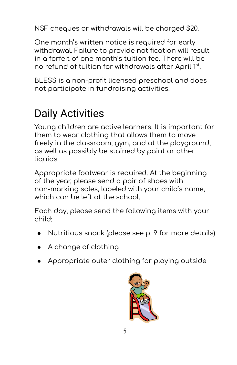NSF cheques or withdrawals will be charged \$20.

One month's written notice is required for early withdrawal. Failure to provide notification will result in a forfeit of one month's tuition fee. There will be no refund of tuition for withdrawals after April 1st.

BLESS is a non-profit licensed preschool and does not participate in fundraising activities.

### Daily Activities

Young children are active learners. It is important for them to wear clothing that allows them to move freely in the classroom, gym, and at the playground, as well as possibly be stained by paint or other liquids.

Appropriate footwear is required. At the beginning of the year, please send a pair of shoes with non-marking soles, labeled with your child's name, which can be left at the school.

Each day, please send the following items with your child:

- Nutritious snack (please see  $\rho$ . 9 for more details)
- A change of clothing
- $\rightarrow$  Appropriate outer clothing for playing outside

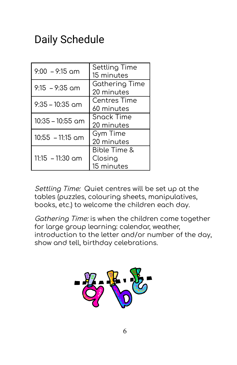#### Daily Schedule

| $9:00 - 9:15$ am   | Settling Time<br>15 minutes                      |
|--------------------|--------------------------------------------------|
| $9:15 - 9:35$ am   | <b>Gathering Time</b><br>20 minutes              |
| $9:35 - 10:35$ am  | <b>Centres Time</b><br>60 minutes                |
| $10:35 - 10:55$ am | Snack Time<br>20 minutes                         |
| $10:55 - 11:15$ am | <b>Gym Time</b><br>20 minutes                    |
| $11:15 - 11:30$ am | <b>Bible Time &amp;</b><br>Closing<br>15 minutes |

Settling Time: Quiet centres will be set up at the tables (puzzles, colouring sheets, manipulatives, books, etc.) to welcome the children each day.

Gathering Time: is when the children come together for large group learning: calendar, weather, introduction to the letter and/or number of the day, show and tell, birthday celebrations.

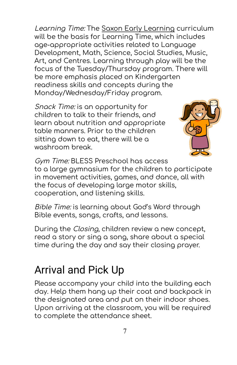Learning Time: The Saxon Early Learning curriculum will be the basis for Learning Time, which includes age-appropriate activities related to Language Development, Math, Science, Social Studies, Music, Art, and Centres. Learning through play will be the focus of the Tuesday/Thursday program. There will be more emphasis placed on Kindergarten readiness skills and concepts during the Monday/Wednesday/Friday program.

Snack Time: is an opportunity for children to talk to their friends, and learn about nutrition and appropriate table manners. Prior to the children sitting down to eat, there will be a washroom break.



Gym Time: BLESS Preschool has access to a large gymnasium for the children to participate in movement activities, games, and dance, all with the focus of developing large motor skills, cooperation, and listening skills.

Bible Time: is learning about God's Word through Bible events, songs, crafts, and lessons.

During the Closing, children review a new concept, read a story or sing a song, share about a special time during the day and say their closing prayer.

#### Arrival and Pick Up

Please accompany your child into the building each day. Help them hang up their coat and backpack in the designated area and put on their indoor shoes. Upon arriving at the classroom, you will be required to complete the attendance sheet.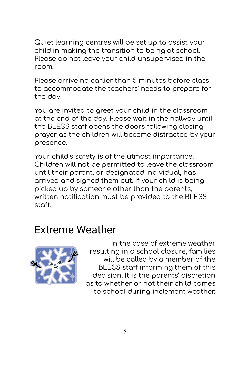Quiet learning centres will be set up to assist your child in making the transition to being at school. Please do not leave your child unsupervised in the room.

Please arrive no earlier than 5 minutes before class to accommodate the teachers' needs to prepare for the day.

You are invited to greet your child in the classroom at the end of the day. Please wait in the hallway until the BLESS staff opens the doors following closing prayer as the children will become distracted by your presence.

Your child's safety is of the utmost importance. Children will not be permitted to leave the classroom until their parent, or designated individual, has arrived and signed them out. If your child is being picked up by someone other than the parents, written notification must be provided to the BLESS staff.

#### Extreme Weather



In the case of extreme weather resulting in a school closure, families will be called by a member of the BLESS staff informing them of this decision. It is the parents' discretion as to whether or not their child comes to school during inclement weather.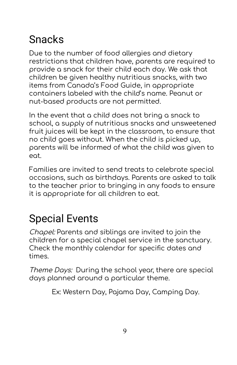## Snacks

Due to the number of food allergies and dietary restrictions that children have, parents are required to provide a snack for their child each day. We ask that children be given healthy nutritious snacks, with two items from Canada's Food Guide, in appropriate containers labeled with the child's name. Peanut or nut-based products are not permitted.

In the event that a child does not bring a snack to school, a supply of nutritious snacks and unsweetened fruit juices will be kept in the classroom, to ensure that no child goes without. When the child is picked up, parents will be informed of what the child was given to eat.

Families are invited to send treats to celebrate special occasions, such as birthdays. Parents are asked to talk to the teacher prior to bringing in any foods to ensure it is appropriate for all children to eat.

## Special Events

Chapel: Parents and siblings are invited to join the children for a special chapel service in the sanctuary. Check the monthly calendar for specific dates and times.

Theme Days: During the school year, there are special days planned around a particular theme.

Ex: Western Day, Pajama Day, Camping Day.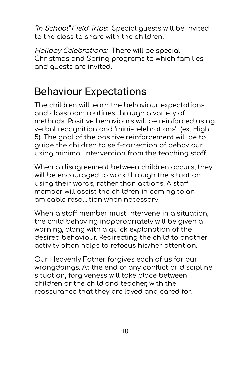"In School" Field Trips: Special guests will be invited to the class to share with the children.

Holiday Celebrations: There will be special Christmas and Spring programs to which families and guests are invited.

## Behaviour Expectations

The children will learn the behaviour expectations and classroom routines through a variety of methods. Positive behaviours will be reinforced using verbal recognition and 'mini-celebrations' (ex. High 5). The goal of the positive reinforcement will be to guide the children to self-correction of behaviour using minimal intervention from the teaching staff.

When a disagreement between children occurs, they will be encouraged to work through the situation using their words, rather than actions. A staff member will assist the children in coming to an amicable resolution when necessary.

When a staff member must intervene in a situation, the child behaving inappropriately will be given a warning, along with a quick explanation of the desired behaviour. Redirecting the child to another activity often helps to refocus his/her attention.

Our Heavenly Father forgives each of us for our wrongdoings. At the end of any conflict or discipline situation, forgiveness will take place between children or the child and teacher, with the reassurance that they are loved and cared for.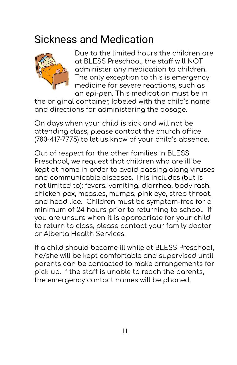#### Sickness and Medication



Due to the limited hours the children are at BLESS Preschool, the staff will NOT administer any medication to children. The only exception to this is emergency medicine for severe reactions, such as an epi-pen. This medication must be in

the original container, labeled with the child's name and directions for administering the dosage.

On days when your child is sick and will not be attending class, please contact the church office (780-417-7775) to let us know of your child's absence.

Out of respect for the other families in BLESS Preschool, we request that children who are ill be kept at home in order to avoid passing along viruses and communicable diseases. This includes (but is not limited to): fevers, vomiting, diarrhea, body rash, chicken pox, measles, mumps, pink eye, strep throat, and head lice. Children must be symptom-free for a minimum of 24 hours prior to returning to school. If you are unsure when it is appropriate for your child to return to class, please contact your family doctor or Alberta Health Services.

If a child should become ill while at BLESS Preschool, he/she will be kept comfortable and supervised until parents can be contacted to make arrangements for pick up. If the staff is unable to reach the parents, the emergency contact names will be phoned.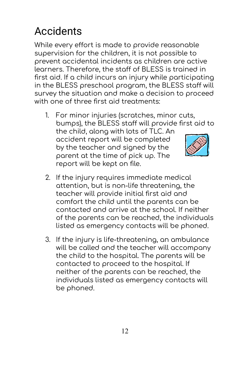# Accidents

While every effort is made to provide reasonable supervision for the children, it is not possible to prevent accidental incidents as children are active learners. Therefore, the staff of BLESS is trained in first aid. If a child incurs an injury while participating in the BLESS preschool program, the BLESS staff will survey the situation and make a decision to proceed with one of three first aid treatments:

- 1. For minor injuries (scratches, minor cuts, bumps), the BLESS staff will provide first aid to the child, along with lots of TLC. An accident report will be completed by the teacher and signed by the parent at the time of pick up. The report will be kept on file.
- 2. If the injury requires immediate medical attention, but is non-life threatening, the teacher will provide initial first aid and comfort the child until the parents can be contacted and arrive at the school. If neither of the parents can be reached, the individuals listed as emergency contacts will be phoned.
- 3. If the injury is life-threatening, an ambulance will be called and the teacher will accompany the child to the hospital. The parents will be contacted to proceed to the hospital. If neither of the parents can be reached, the individuals listed as emergency contacts will be phoned.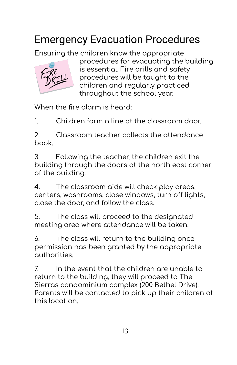# Emergency Evacuation Procedures

Ensuring the children know the appropriate



procedures for evacuating the building is essential. Fire drills and safety procedures will be taught to the children and regularly practiced throughout the school year.

When the fire alarm is heard:

1. Children form a line at the classroom door.

2. Classroom teacher collects the attendance book.

3. Following the teacher, the children exit the building through the doors at the north east corner of the building.

4. The classroom aide will check play areas, centers, washrooms, close windows, turn off lights, close the door, and follow the class.

5. The class will proceed to the designated meeting area where attendance will be taken.

6. The class will return to the building once permission has been granted by the appropriate authorities.

7. In the event that the children are unable to return to the building, they will proceed to The Sierras condominium complex (200 Bethel Drive). Parents will be contacted to pick up their children at this location.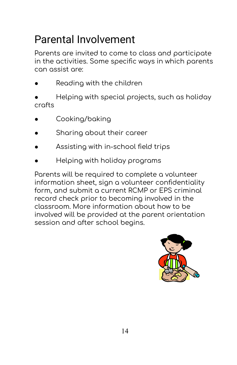## Parental Involvement

Parents are invited to come to class and participate in the activities. Some specific ways in which parents can assist are:

- Reading with the children
- Helping with special projects, such as holiday crafts
- Cooking/baking
- Sharing about their career
- Assisting with in-school field trips
- Helping with holiday programs

Parents will be required to complete a volunteer information sheet, sign a volunteer confidentiality form, and submit a current RCMP or EPS criminal record check prior to becoming involved in the classroom. More information about how to be involved will be provided at the parent orientation session and after school begins.

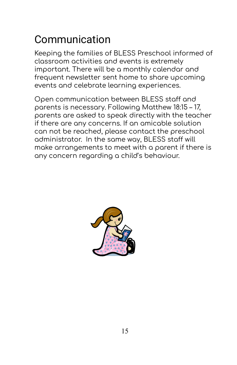## Communication

Keeping the families of BLESS Preschool informed of classroom activities and events is extremely important. There will be a monthly calendar and frequent newsletter sent home to share upcoming events and celebrate learning experiences.

Open communication between BLESS staff and parents is necessary. Following Matthew 18:15 – 17, parents are asked to speak directly with the teacher if there are any concerns. If an amicable solution can not be reached, please contact the preschool administrator. In the same way, BLESS staff will make arrangements to meet with a parent if there is any concern regarding a child's behaviour.

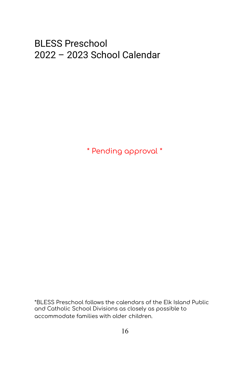#### BLESS Preschool 2022 – 2023 School Calendar

\* Pending approval \*

\*BLESS Preschool follows the calendars of the Elk Island Public and Catholic School Divisions as closely as possible to accommodate families with older children.